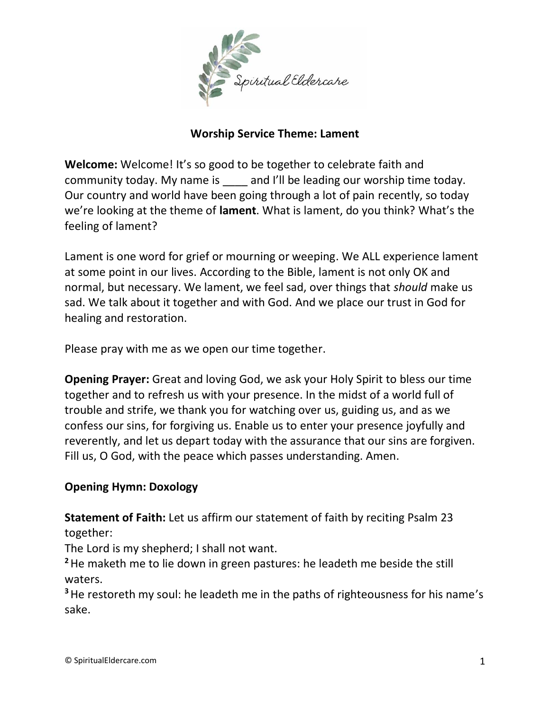

### **Worship Service Theme: Lament**

**Welcome:** Welcome! It's so good to be together to celebrate faith and community today. My name is and I'll be leading our worship time today. Our country and world have been going through a lot of pain recently, so today we're looking at the theme of **lament**. What is lament, do you think? What's the feeling of lament?

Lament is one word for grief or mourning or weeping. We ALL experience lament at some point in our lives. According to the Bible, lament is not only OK and normal, but necessary. We lament, we feel sad, over things that *should* make us sad. We talk about it together and with God. And we place our trust in God for healing and restoration.

Please pray with me as we open our time together.

**Opening Prayer:** Great and loving God, we ask your Holy Spirit to bless our time together and to refresh us with your presence. In the midst of a world full of trouble and strife, we thank you for watching over us, guiding us, and as we confess our sins, for forgiving us. Enable us to enter your presence joyfully and reverently, and let us depart today with the assurance that our sins are forgiven. Fill us, O God, with the peace which passes understanding. Amen.

### **Opening Hymn: Doxology**

**Statement of Faith:** Let us affirm our statement of faith by reciting Psalm 23 together:

The Lord is my shepherd; I shall not want.

**<sup>2</sup>**He maketh me to lie down in green pastures: he leadeth me beside the still waters.

**<sup>3</sup>**He restoreth my soul: he leadeth me in the paths of righteousness for his name's sake.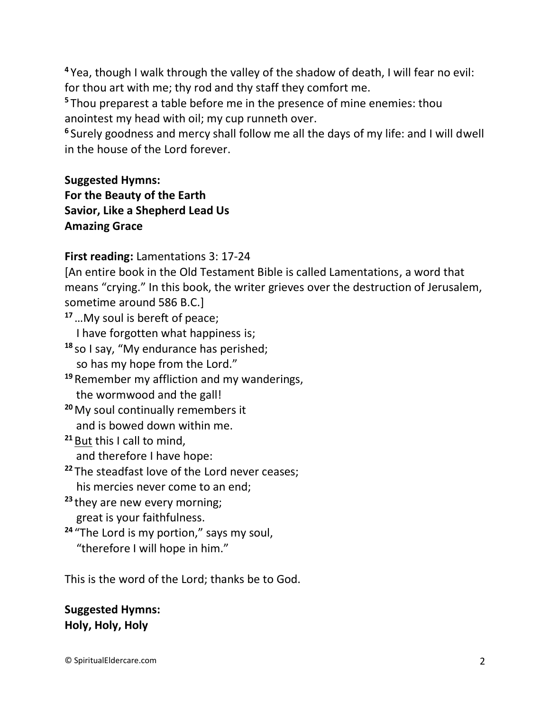**<sup>4</sup>** Yea, though I walk through the valley of the shadow of death, I will fear no evil: for thou art with me; thy rod and thy staff they comfort me.

**<sup>5</sup>** Thou preparest a table before me in the presence of mine enemies: thou anointest my head with oil; my cup runneth over.

**6** Surely goodness and mercy shall follow me all the days of my life: and I will dwell in the house of the Lord forever.

# **Suggested Hymns: For the Beauty of the Earth Savior, Like a Shepherd Lead Us Amazing Grace**

**First reading:** Lamentations 3: 17-24

[An entire book in the Old Testament Bible is called Lamentations, a word that means "crying." In this book, the writer grieves over the destruction of Jerusalem, sometime around 586 B.C.]

**<sup>17</sup>**…My soul is bereft of peace;

I have forgotten what happiness is;

- **<sup>18</sup>** so I say, "My endurance has perished; so has my hope from the Lord."
- **<sup>19</sup>** Remember my affliction and my wanderings, the wormwood and the gall!
- **<sup>20</sup>**My soul continually remembers it and is bowed down within me.
- **<sup>21</sup>** But this I call to mind, and therefore I have hope:
- **<sup>22</sup>** The steadfast love of the Lord never ceases;

his mercies never come to an end;

- **<sup>23</sup>** they are new every morning; great is your faithfulness.
- **<sup>24</sup>** "The Lord is my portion," says my soul, "therefore I will hope in him."

This is the word of the Lord; thanks be to God.

**Suggested Hymns: Holy, Holy, Holy**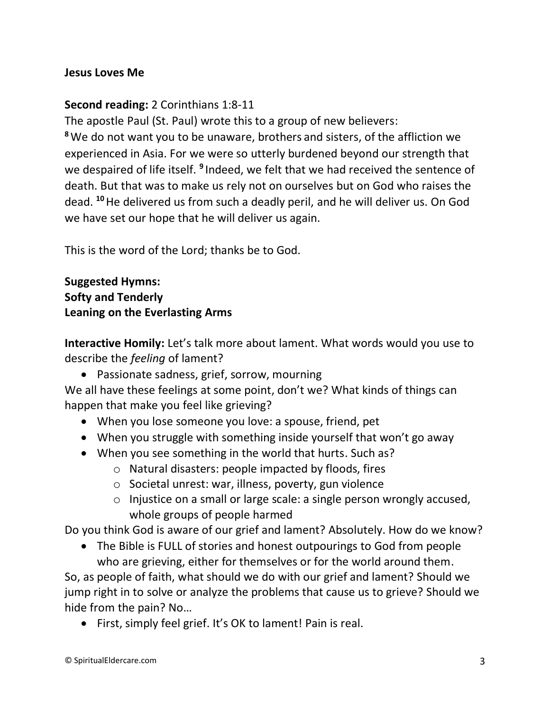#### **Jesus Loves Me**

#### **Second reading:** 2 Corinthians 1:8-11

The apostle Paul (St. Paul) wrote this to a group of new believers:

**<sup>8</sup>**We do not want you to be unaware, brothers and sisters, of the affliction we experienced in Asia. For we were so utterly burdened beyond our strength that we despaired of life itself. <sup>9</sup> Indeed, we felt that we had received the sentence of death. But that was to make us rely not on ourselves but on God who raises the dead. **<sup>10</sup>**He delivered us from such a deadly peril, and he will deliver us. On God we have set our hope that he will deliver us again.

This is the word of the Lord; thanks be to God.

### **Suggested Hymns: Softy and Tenderly Leaning on the Everlasting Arms**

**Interactive Homily:** Let's talk more about lament. What words would you use to describe the *feeling* of lament?

• Passionate sadness, grief, sorrow, mourning

We all have these feelings at some point, don't we? What kinds of things can happen that make you feel like grieving?

- When you lose someone you love: a spouse, friend, pet
- When you struggle with something inside yourself that won't go away
- When you see something in the world that hurts. Such as?
	- o Natural disasters: people impacted by floods, fires
	- o Societal unrest: war, illness, poverty, gun violence
	- o Injustice on a small or large scale: a single person wrongly accused, whole groups of people harmed

Do you think God is aware of our grief and lament? Absolutely. How do we know?

• The Bible is FULL of stories and honest outpourings to God from people who are grieving, either for themselves or for the world around them.

So, as people of faith, what should we do with our grief and lament? Should we jump right in to solve or analyze the problems that cause us to grieve? Should we hide from the pain? No…

• First, simply feel grief. It's OK to lament! Pain is real.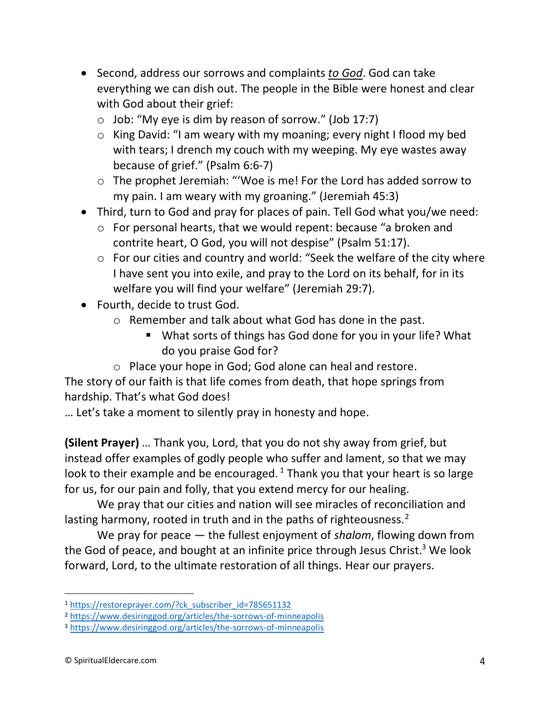- Second, address our sorrows and complaints *to God*. God can take everything we can dish out. The people in the Bible were honest and clear with God about their grief:
	- o Job: "My eye is dim by reason of sorrow." (Job 17:7)
	- o King David: "I am weary with my moaning; every night I flood my bed with tears; I drench my couch with my weeping. My eye wastes away because of grief." (Psalm 6:6-7)
	- o The prophet Jeremiah: "'Woe is me! For the Lord has added sorrow to my pain. I am weary with my groaning." (Jeremiah 45:3)
- Third, turn to God and pray for places of pain. Tell God what you/we need:
	- o For personal hearts, that we would repent: because "a broken and contrite heart, O God, you will not despise" (Psalm 51:17).
	- o For our cities and country and world: "Seek the welfare of the city where I have sent you into exile, and pray to the Lord on its behalf, for in its welfare you will find your welfare" (Jeremiah 29:7).
- Fourth, decide to trust God.
	- o Remember and talk about what God has done in the past.
		- What sorts of things has God done for you in your life? What do you praise God for?
	- o Place your hope in God; God alone can heal and restore.

The story of our faith is that life comes from death, that hope springs from hardship. That's what God does!

… Let's take a moment to silently pray in honesty and hope.

**(Silent Prayer)** … Thank you, Lord, that you do not shy away from grief, but instead offer examples of godly people who suffer and lament, so that we may look to their example and be encouraged.<sup>1</sup> Thank you that your heart is so large for us, for our pain and folly, that you extend mercy for our healing.

We pray that our cities and nation will see miracles of reconciliation and lasting harmony, rooted in truth and in the paths of righteousness. $2^2$ 

We pray for peace — the fullest enjoyment of *shalom*, flowing down from the God of peace, and bought at an infinite price through Jesus Christ.<sup>3</sup> We look forward, Lord, to the ultimate restoration of all things. Hear our prayers.

<sup>1</sup> [https://restoreprayer.com/?ck\\_subscriber\\_id=785651132](https://restoreprayer.com/?ck_subscriber_id=785651132)

<sup>2</sup> <https://www.desiringgod.org/articles/the-sorrows-of-minneapolis>

<sup>3</sup> <https://www.desiringgod.org/articles/the-sorrows-of-minneapolis>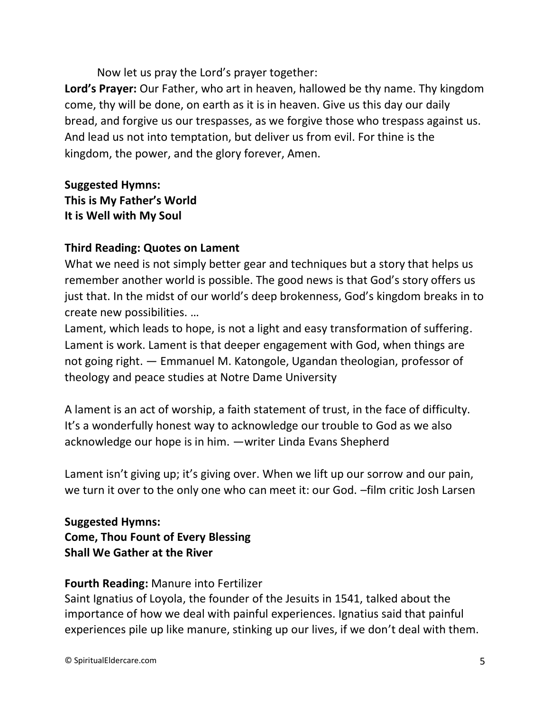Now let us pray the Lord's prayer together:

**Lord's Prayer:** Our Father, who art in heaven, hallowed be thy name. Thy kingdom come, thy will be done, on earth as it is in heaven. Give us this day our daily bread, and forgive us our trespasses, as we forgive those who trespass against us. And lead us not into temptation, but deliver us from evil. For thine is the kingdom, the power, and the glory forever, Amen.

# **Suggested Hymns: This is My Father's World It is Well with My Soul**

# **Third Reading: Quotes on Lament**

What we need is not simply better gear and techniques but a story that helps us remember another world is possible. The good news is that God's story offers us just that. In the midst of our world's deep brokenness, God's kingdom breaks in to create new possibilities. …

Lament, which leads to hope, is not a light and easy transformation of suffering. Lament is work. Lament is that deeper engagement with God, when things are not going right. ― Emmanuel M. Katongole, Ugandan theologian, professor of theology and peace studies at Notre Dame University

A lament is an act of worship, a faith statement of trust, in the face of difficulty. It's a wonderfully honest way to acknowledge our trouble to God as we also acknowledge our hope is in him. —writer Linda Evans Shepherd

Lament isn't giving up; it's giving over. When we lift up our sorrow and our pain, we turn it over to the only one who can meet it: our God. –film critic Josh Larsen

# **Suggested Hymns: Come, Thou Fount of Every Blessing Shall We Gather at the River**

### **Fourth Reading:** Manure into Fertilizer

Saint Ignatius of Loyola, the founder of the Jesuits in 1541, talked about the importance of how we deal with painful experiences. Ignatius said that painful experiences pile up like manure, stinking up our lives, if we don't deal with them.